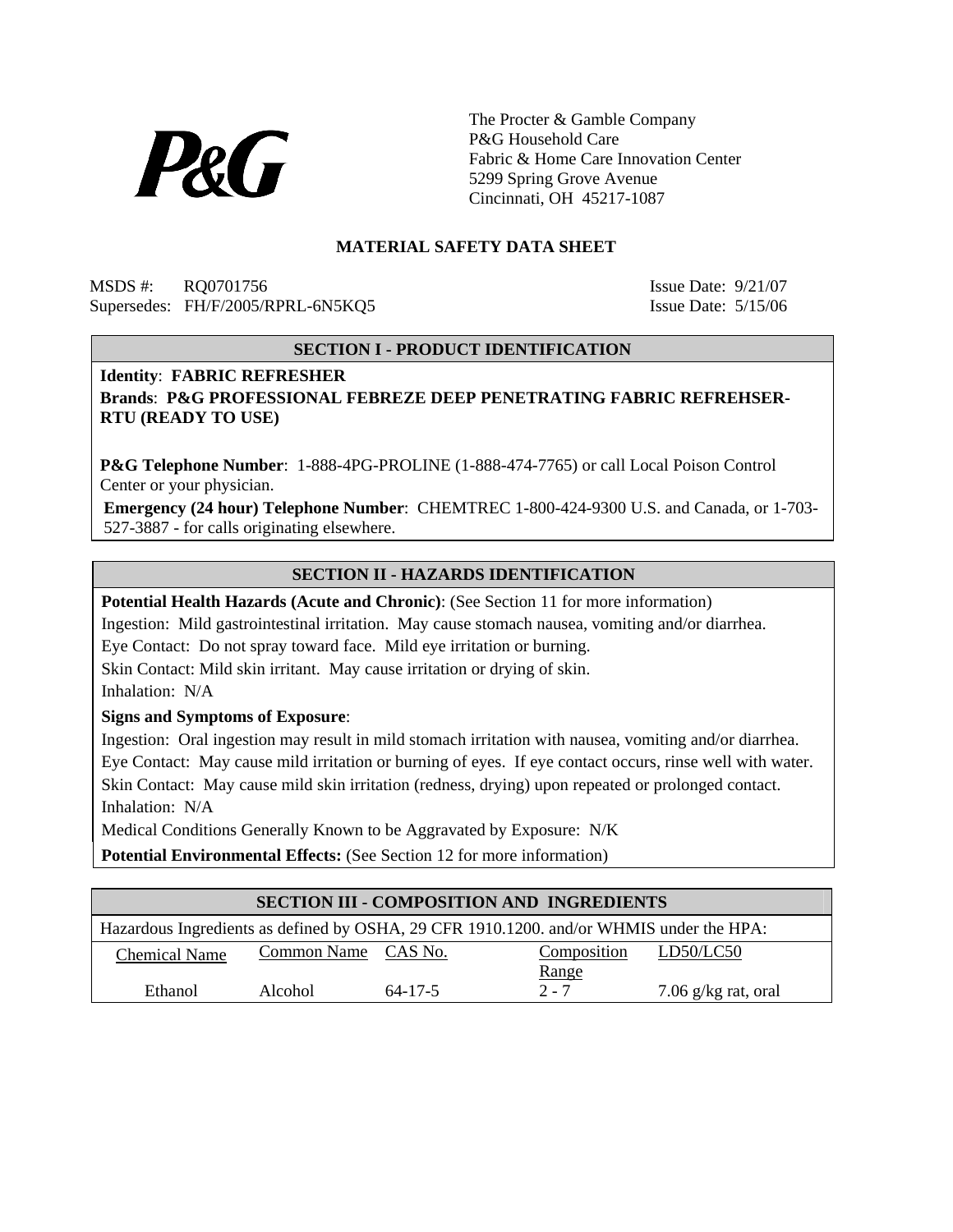

The Procter & Gamble Company P&G Household Care Fabric & Home Care Innovation Center 5299 Spring Grove Avenue Cincinnati, OH 45217-1087

#### **MATERIAL SAFETY DATA SHEET**

MSDS #: RQ0701756 Issue Date: 9/21/07 Supersedes: FH/F/2005/RPRL-6N5KQ5 Issue Date: 5/15/06

#### **SECTION I - PRODUCT IDENTIFICATION**

**Identity**: **FABRIC REFRESHER Brands**: **P&G PROFESSIONAL FEBREZE DEEP PENETRATING FABRIC REFREHSER-RTU (READY TO USE)**

**P&G Telephone Number**: 1-888-4PG-PROLINE (1-888-474-7765) or call Local Poison Control Center or your physician.

**Emergency (24 hour) Telephone Number**: CHEMTREC 1-800-424-9300 U.S. and Canada, or 1-703- 527-3887 - for calls originating elsewhere.

#### **SECTION II - HAZARDS IDENTIFICATION**

**Potential Health Hazards (Acute and Chronic)**: (See Section 11 for more information)

Ingestion: Mild gastrointestinal irritation. May cause stomach nausea, vomiting and/or diarrhea.

Eye Contact: Do not spray toward face. Mild eye irritation or burning.

Skin Contact: Mild skin irritant. May cause irritation or drying of skin.

Inhalation: N/A

**Signs and Symptoms of Exposure**:

Ingestion: Oral ingestion may result in mild stomach irritation with nausea, vomiting and/or diarrhea. Eye Contact: May cause mild irritation or burning of eyes. If eye contact occurs, rinse well with water. Skin Contact: May cause mild skin irritation (redness, drying) upon repeated or prolonged contact. Inhalation: N/A

Medical Conditions Generally Known to be Aggravated by Exposure: N/K

**Potential Environmental Effects:** (See Section 12 for more information)

| <b>SECTION III - COMPOSITION AND INGREDIENTS</b>                                        |                     |               |             |                     |  |  |  |  |  |  |  |
|-----------------------------------------------------------------------------------------|---------------------|---------------|-------------|---------------------|--|--|--|--|--|--|--|
| Hazardous Ingredients as defined by OSHA, 29 CFR 1910.1200. and/or WHMIS under the HPA: |                     |               |             |                     |  |  |  |  |  |  |  |
| <b>Chemical Name</b>                                                                    | Common Name CAS No. |               | Composition | LD50/LC50           |  |  |  |  |  |  |  |
|                                                                                         |                     |               | Range       |                     |  |  |  |  |  |  |  |
| Ethanol                                                                                 | Alcohol             | $64 - 17 - 5$ | $2 - 7$     | 7.06 g/kg rat, oral |  |  |  |  |  |  |  |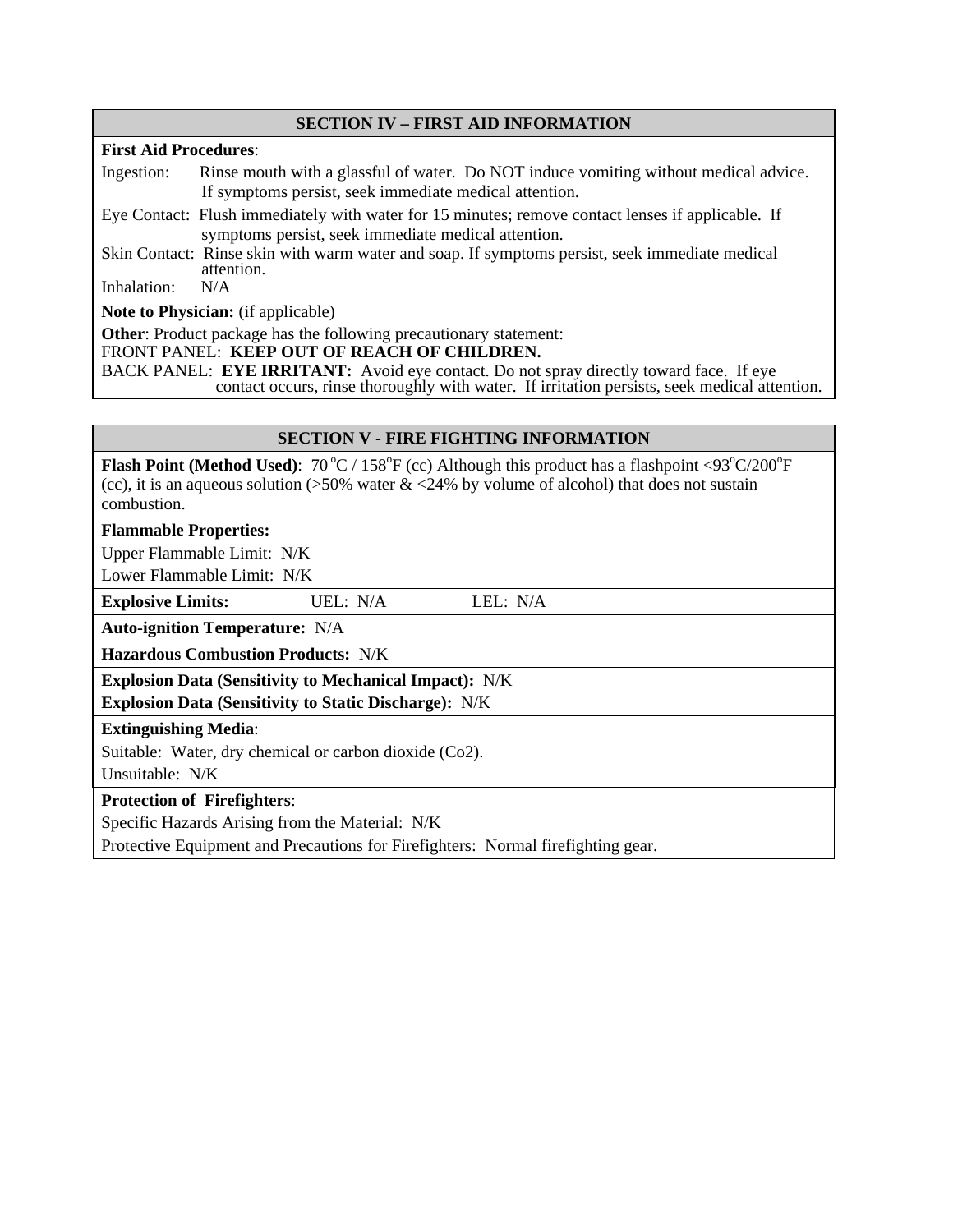## **SECTION IV – FIRST AID INFORMATION**

## **First Aid Procedures**:

Ingestion: Rinse mouth with a glassful of water. Do NOT induce vomiting without medical advice. If symptoms persist, seek immediate medical attention.

Eye Contact: Flush immediately with water for 15 minutes; remove contact lenses if applicable. If symptoms persist, seek immediate medical attention.

Skin Contact: Rinse skin with warm water and soap. If symptoms persist, seek immediate medical attention.

Inhalation: N/A

**Note to Physician:** (if applicable)

**Other:** Product package has the following precautionary statement:

FRONT PANEL: **KEEP OUT OF REACH OF CHILDREN.** 

BACK PANEL: **EYE IRRITANT:** Avoid eye contact. Do not spray directly toward face. If eye contact occurs, rinse thoroughly with water. If irritation persists, seek medical attention.

#### **SECTION V - FIRE FIGHTING INFORMATION**

**Flash Point (Method Used):**  $70^{\circ}C / 158^{\circ}F$  (cc) Although this product has a flashpoint <93 $^{\circ}C/200^{\circ}F$ (cc), it is an aqueous solution ( $>50\%$  water  $< 24\%$  by volume of alcohol) that does not sustain combustion.

# **Flammable Properties:**

Upper Flammable Limit: N/K

Lower Flammable Limit: N/K

**Explosive Limits:** UEL: N/A LEL: N/A

**Auto-ignition Temperature:** N/A

**Hazardous Combustion Products:** N/K

**Explosion Data (Sensitivity to Mechanical Impact):** N/K **Explosion Data (Sensitivity to Static Discharge):** N/K

#### **Extinguishing Media**:

Suitable: Water, dry chemical or carbon dioxide (Co2).

Unsuitable: N/K

#### **Protection of Firefighters**:

Specific Hazards Arising from the Material: N/K

Protective Equipment and Precautions for Firefighters: Normal firefighting gear.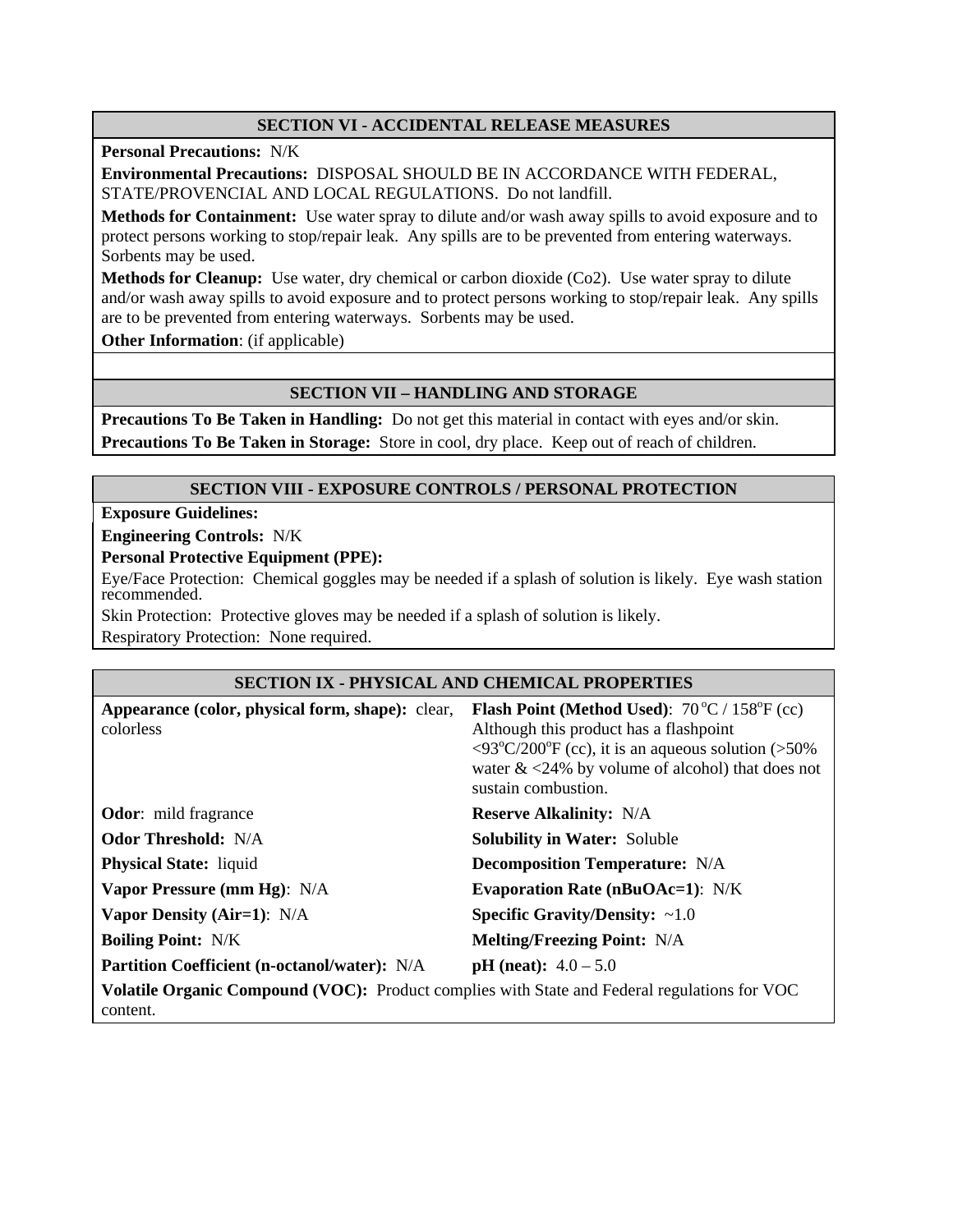## **SECTION VI - ACCIDENTAL RELEASE MEASURES**

## **Personal Precautions:** N/K

**Environmental Precautions:** DISPOSAL SHOULD BE IN ACCORDANCE WITH FEDERAL, STATE/PROVENCIAL AND LOCAL REGULATIONS. Do not landfill.

**Methods for Containment:** Use water spray to dilute and/or wash away spills to avoid exposure and to protect persons working to stop/repair leak. Any spills are to be prevented from entering waterways. Sorbents may be used.

**Methods for Cleanup:** Use water, dry chemical or carbon dioxide (Co2). Use water spray to dilute and/or wash away spills to avoid exposure and to protect persons working to stop/repair leak. Any spills are to be prevented from entering waterways. Sorbents may be used.

**Other Information**: (if applicable)

## **SECTION VII – HANDLING AND STORAGE**

**Precautions To Be Taken in Handling:** Do not get this material in contact with eyes and/or skin. **Precautions To Be Taken in Storage:** Store in cool, dry place. Keep out of reach of children.

## **SECTION VIII - EXPOSURE CONTROLS / PERSONAL PROTECTION**

**Exposure Guidelines:** 

**Engineering Controls:** N/K

**Personal Protective Equipment (PPE):** 

Eye/Face Protection: Chemical goggles may be needed if a splash of solution is likely. Eye wash station recommended.

Skin Protection: Protective gloves may be needed if a splash of solution is likely.

Respiratory Protection: None required.

#### **SECTION IX - PHYSICAL AND CHEMICAL PROPERTIES**

| Appearance (color, physical form, shape): clear,<br>colorless                                                   | <b>Flash Point (Method Used):</b> $70^{\circ}C / 158^{\circ}F$ (cc)<br>Although this product has a flashpoint<br>$\langle 93^{\circ}$ C/200 $^{\circ}$ F (cc), it is an aqueous solution (>50%<br>water $<24\%$ by volume of alcohol) that does not<br>sustain combustion. |  |  |  |  |
|-----------------------------------------------------------------------------------------------------------------|----------------------------------------------------------------------------------------------------------------------------------------------------------------------------------------------------------------------------------------------------------------------------|--|--|--|--|
| <b>Odor:</b> mild fragrance                                                                                     | <b>Reserve Alkalinity: N/A</b>                                                                                                                                                                                                                                             |  |  |  |  |
| <b>Odor Threshold:</b> N/A                                                                                      | <b>Solubility in Water: Soluble</b>                                                                                                                                                                                                                                        |  |  |  |  |
| <b>Physical State:</b> liquid                                                                                   | <b>Decomposition Temperature:</b> N/A                                                                                                                                                                                                                                      |  |  |  |  |
| Vapor Pressure (mm Hg): N/A                                                                                     | Evaporation Rate (nBuOAc=1): $N/K$                                                                                                                                                                                                                                         |  |  |  |  |
| <b>Vapor Density (Air=1): N/A</b>                                                                               | <b>Specific Gravity/Density:</b> $~1.0$                                                                                                                                                                                                                                    |  |  |  |  |
| <b>Boiling Point: N/K</b>                                                                                       | <b>Melting/Freezing Point: N/A</b>                                                                                                                                                                                                                                         |  |  |  |  |
| <b>Partition Coefficient (n-octanol/water): N/A</b>                                                             | <b>pH</b> (neat): $4.0 - 5.0$                                                                                                                                                                                                                                              |  |  |  |  |
| <b>Volatile Organic Compound (VOC):</b> Product complies with State and Federal regulations for VOC<br>content. |                                                                                                                                                                                                                                                                            |  |  |  |  |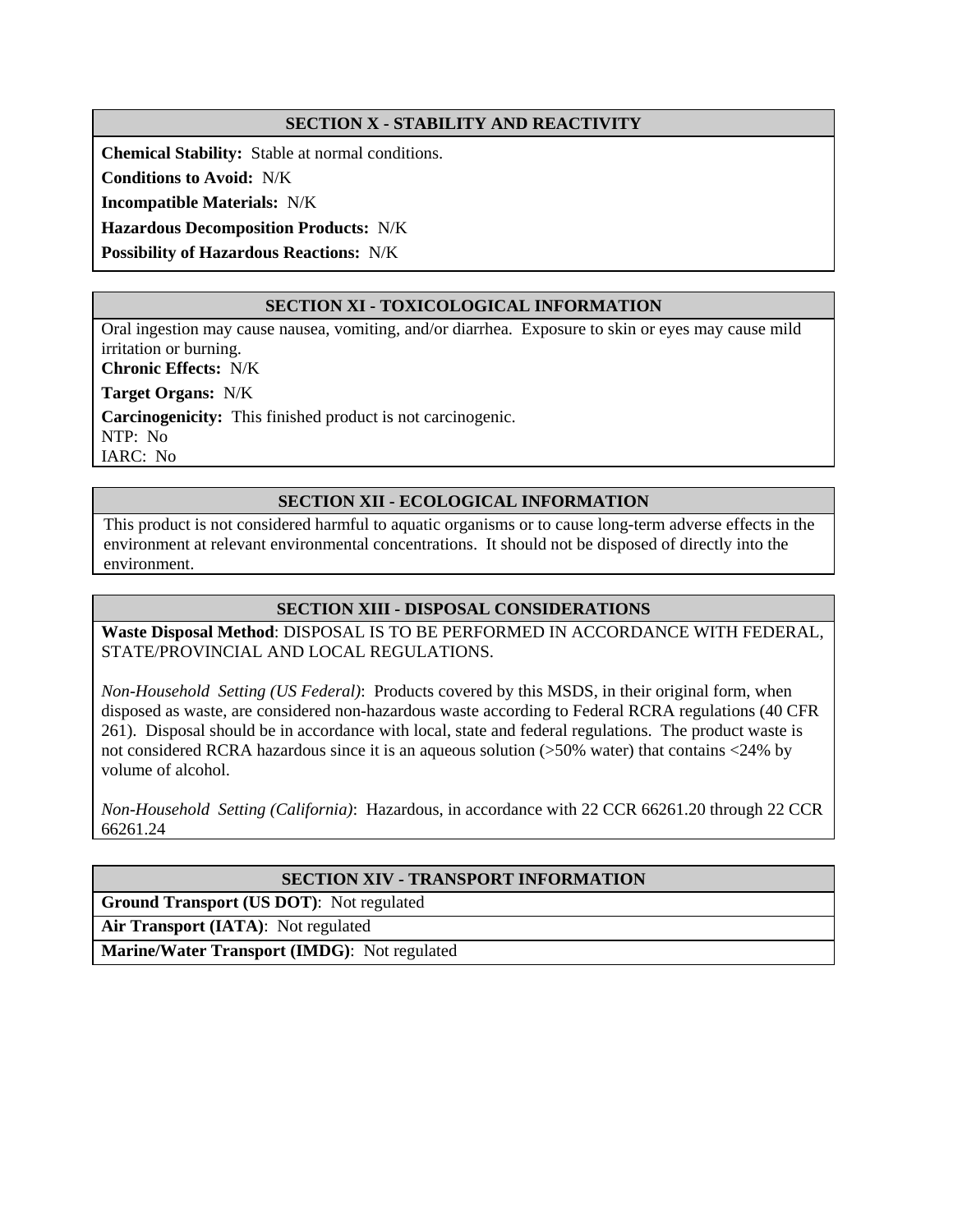## **SECTION X - STABILITY AND REACTIVITY**

**Chemical Stability:** Stable at normal conditions.

**Conditions to Avoid:** N/K

**Incompatible Materials:** N/K

**Hazardous Decomposition Products:** N/K

### **Possibility of Hazardous Reactions:** N/K

## **SECTION XI - TOXICOLOGICAL INFORMATION**

Oral ingestion may cause nausea, vomiting, and/or diarrhea. Exposure to skin or eyes may cause mild irritation or burning.

**Chronic Effects:** N/K

**Target Organs:** N/K

**Carcinogenicity:** This finished product is not carcinogenic. NTP: No IARC: No

#### **SECTION XII - ECOLOGICAL INFORMATION**

This product is not considered harmful to aquatic organisms or to cause long-term adverse effects in the environment at relevant environmental concentrations. It should not be disposed of directly into the environment.

## **SECTION XIII - DISPOSAL CONSIDERATIONS**

**Waste Disposal Method**: DISPOSAL IS TO BE PERFORMED IN ACCORDANCE WITH FEDERAL, STATE/PROVINCIAL AND LOCAL REGULATIONS.

*Non-Household Setting (US Federal)*: Products covered by this MSDS, in their original form, when disposed as waste, are considered non-hazardous waste according to Federal RCRA regulations (40 CFR 261). Disposal should be in accordance with local, state and federal regulations. The product waste is not considered RCRA hazardous since it is an aqueous solution (>50% water) that contains <24% by volume of alcohol.

*Non-Household Setting (California)*: Hazardous, in accordance with 22 CCR 66261.20 through 22 CCR 66261.24

#### **SECTION XIV - TRANSPORT INFORMATION**

**Ground Transport (US DOT)**: Not regulated

**Air Transport (IATA)**: Not regulated

**Marine/Water Transport (IMDG)**: Not regulated